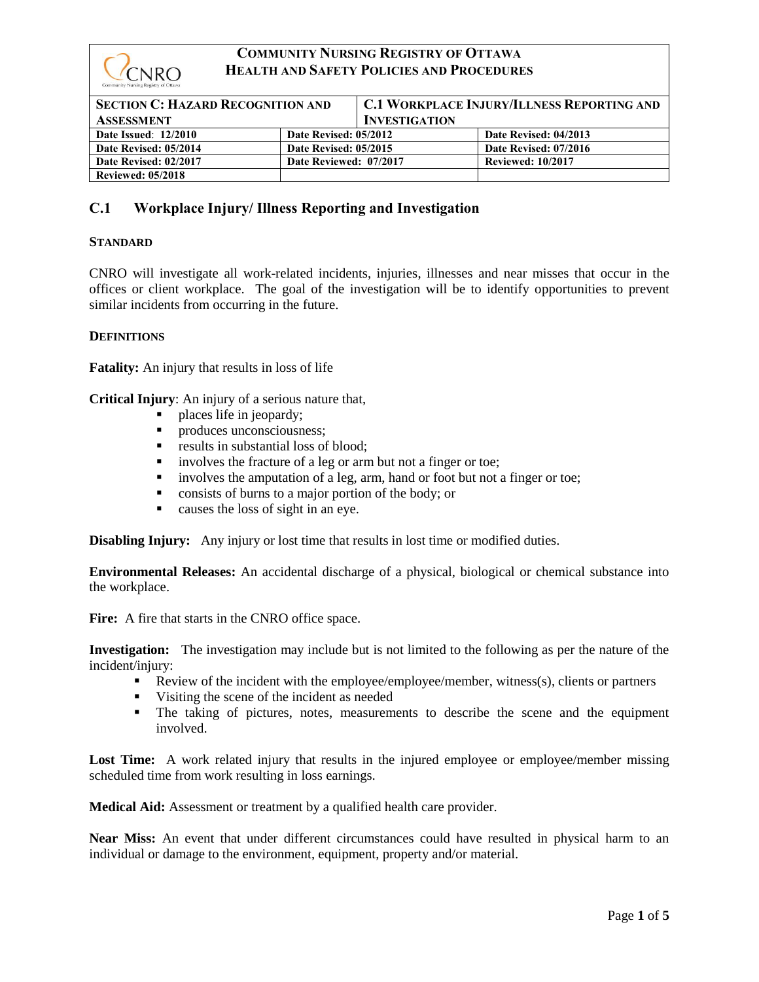

| <b>SECTION C: HAZARD RECOGNITION AND</b><br><b>ASSESSMENT</b> |                        | <b>C.1 WORKPLACE INJURY/ILLNESS REPORTING AND</b><br><b>INVESTIGATION</b> |                          |
|---------------------------------------------------------------|------------------------|---------------------------------------------------------------------------|--------------------------|
| <b>Date Issued: 12/2010</b>                                   | Date Revised: 05/2012  |                                                                           | Date Revised: 04/2013    |
| Date Revised: 05/2014                                         | Date Revised: 05/2015  |                                                                           | Date Revised: 07/2016    |
| Date Revised: 02/2017                                         | Date Reviewed: 07/2017 |                                                                           | <b>Reviewed: 10/2017</b> |
| <b>Reviewed: 05/2018</b>                                      |                        |                                                                           |                          |

# **C.1 Workplace Injury/ Illness Reporting and Investigation**

### **STANDARD**

CNRO will investigate all work-related incidents, injuries, illnesses and near misses that occur in the offices or client workplace. The goal of the investigation will be to identify opportunities to prevent similar incidents from occurring in the future.

### **DEFINITIONS**

**Fatality:** An injury that results in loss of life

**Critical Injury**: An injury of a serious nature that,

- places life in jeopardy;
- **•** produces unconsciousness;
- results in substantial loss of blood;
- involves the fracture of a leg or arm but not a finger or toe;
- **•** involves the amputation of a leg, arm, hand or foot but not a finger or toe;
- consists of burns to a major portion of the body; or
- causes the loss of sight in an eye.

**Disabling Injury:** Any injury or lost time that results in lost time or modified duties.

**Environmental Releases:** An accidental discharge of a physical, biological or chemical substance into the workplace.

Fire: A fire that starts in the CNRO office space.

**Investigation:** The investigation may include but is not limited to the following as per the nature of the incident/injury:

- Review of the incident with the employee/employee/member, witness(s), clients or partners
- Visiting the scene of the incident as needed
- The taking of pictures, notes, measurements to describe the scene and the equipment involved.

Lost Time: A work related injury that results in the injured employee or employee/member missing scheduled time from work resulting in loss earnings.

**Medical Aid:** Assessment or treatment by a qualified health care provider.

**Near Miss:** An event that under different circumstances could have resulted in physical harm to an individual or damage to the environment, equipment, property and/or material.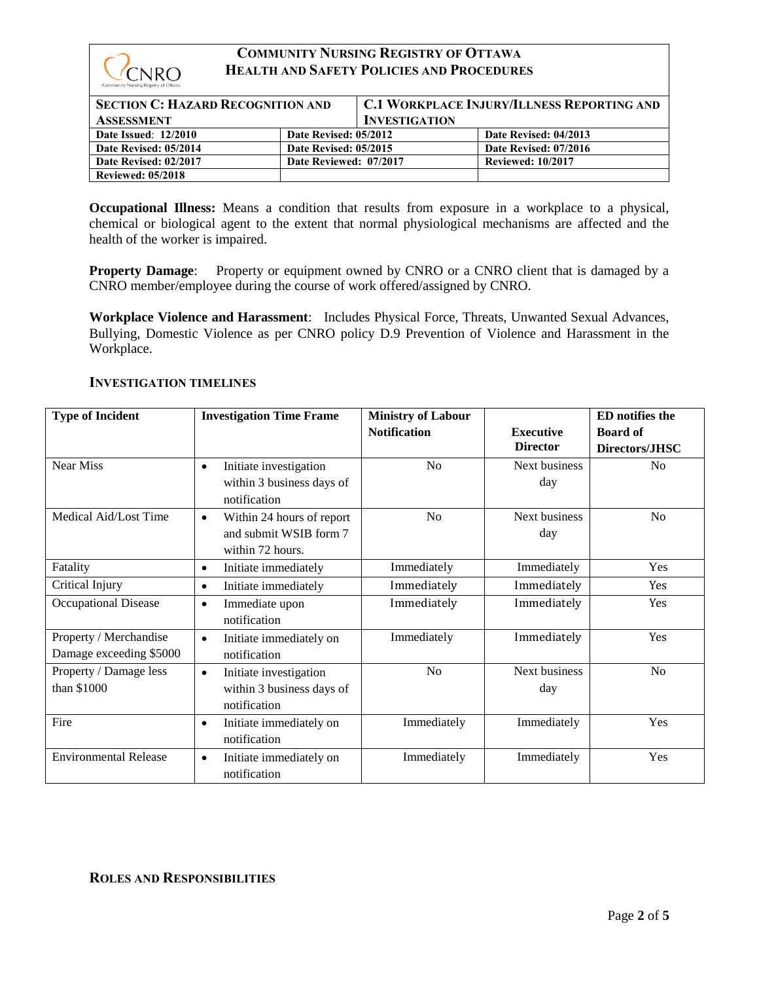

| <b>SECTION C: HAZARD RECOGNITION AND</b> |                        | <b>C.1 WORKPLACE INJURY/ILLNESS REPORTING AND</b> |                          |
|------------------------------------------|------------------------|---------------------------------------------------|--------------------------|
| <b>ASSESSMENT</b>                        |                        | <b>INVESTIGATION</b>                              |                          |
| <b>Date Issued: 12/2010</b>              | Date Revised: 05/2012  |                                                   | Date Revised: 04/2013    |
| Date Revised: 05/2014                    | Date Revised: 05/2015  |                                                   | Date Revised: 07/2016    |
| Date Revised: 02/2017                    | Date Reviewed: 07/2017 |                                                   | <b>Reviewed: 10/2017</b> |
| <b>Reviewed: 05/2018</b>                 |                        |                                                   |                          |

**Occupational Illness:** Means a condition that results from exposure in a workplace to a physical, chemical or biological agent to the extent that normal physiological mechanisms are affected and the health of the worker is impaired.

**Property Damage:** Property or equipment owned by CNRO or a CNRO client that is damaged by a CNRO member/employee during the course of work offered/assigned by CNRO.

**Workplace Violence and Harassment**: Includes Physical Force, Threats, Unwanted Sexual Advances, Bullying, Domestic Violence as per CNRO policy D.9 Prevention of Violence and Harassment in the Workplace.

## **INVESTIGATION TIMELINES**

| <b>Type of Incident</b>                           | <b>Investigation Time Frame</b>                                                      | <b>Ministry of Labour</b> |                                     | <b>ED</b> notifies the            |
|---------------------------------------------------|--------------------------------------------------------------------------------------|---------------------------|-------------------------------------|-----------------------------------|
|                                                   |                                                                                      | <b>Notification</b>       | <b>Executive</b><br><b>Director</b> | <b>Board of</b><br>Directors/JHSC |
| <b>Near Miss</b>                                  | Initiate investigation<br>$\bullet$<br>within 3 business days of<br>notification     | N <sub>o</sub>            | Next business<br>day                | No                                |
| Medical Aid/Lost Time                             | Within 24 hours of report<br>$\bullet$<br>and submit WSIB form 7<br>within 72 hours. | N <sub>0</sub>            | Next business<br>day                | No                                |
| Fatality                                          | Initiate immediately<br>$\bullet$                                                    | Immediately               | Immediately                         | Yes                               |
| Critical Injury                                   | Initiate immediately<br>$\bullet$                                                    | Immediately               | Immediately                         | Yes                               |
| <b>Occupational Disease</b>                       | Immediate upon<br>$\bullet$<br>notification                                          | Immediately               | Immediately                         | <b>Yes</b>                        |
| Property / Merchandise<br>Damage exceeding \$5000 | Initiate immediately on<br>$\bullet$<br>notification                                 | Immediately               | Immediately                         | Yes                               |
| Property / Damage less<br>than \$1000             | Initiate investigation<br>$\bullet$<br>within 3 business days of<br>notification     | No                        | Next business<br>day                | No                                |
| Fire                                              | Initiate immediately on<br>$\bullet$<br>notification                                 | Immediately               | Immediately                         | Yes                               |
| <b>Environmental Release</b>                      | Initiate immediately on<br>$\bullet$<br>notification                                 | Immediately               | Immediately                         | Yes                               |

## **ROLES AND RESPONSIBILITIES**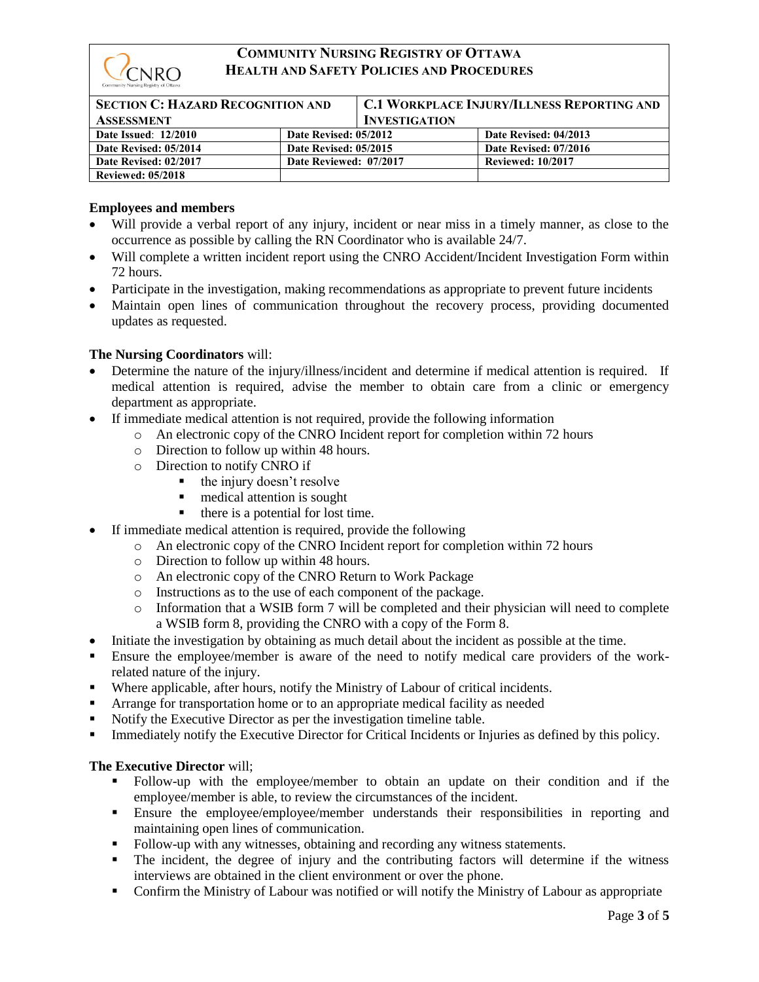

| <b>SECTION C: HAZARD RECOGNITION AND</b> |                        | <b>C.1 WORKPLACE INJURY/ILLNESS REPORTING AND</b> |                          |
|------------------------------------------|------------------------|---------------------------------------------------|--------------------------|
| <b>ASSESSMENT</b>                        |                        | <b>INVESTIGATION</b>                              |                          |
| <b>Date Issued: 12/2010</b>              | Date Revised: 05/2012  |                                                   | Date Revised: 04/2013    |
| Date Revised: 05/2014                    | Date Revised: 05/2015  |                                                   | Date Revised: 07/2016    |
| Date Revised: 02/2017                    | Date Reviewed: 07/2017 |                                                   | <b>Reviewed: 10/2017</b> |
| <b>Reviewed: 05/2018</b>                 |                        |                                                   |                          |

## **Employees and members**

- Will provide a verbal report of any injury, incident or near miss in a timely manner, as close to the occurrence as possible by calling the RN Coordinator who is available 24/7.
- Will complete a written incident report using the CNRO Accident/Incident Investigation Form within 72 hours.
- Participate in the investigation, making recommendations as appropriate to prevent future incidents
- Maintain open lines of communication throughout the recovery process, providing documented updates as requested.

## **The Nursing Coordinators** will:

- Determine the nature of the injury/illness/incident and determine if medical attention is required. If medical attention is required, advise the member to obtain care from a clinic or emergency department as appropriate.
- If immediate medical attention is not required, provide the following information
	- o An electronic copy of the CNRO Incident report for completion within 72 hours
	- o Direction to follow up within 48 hours.
	- o Direction to notify CNRO if
		- the injury doesn't resolve
			- medical attention is sought
			- there is a potential for lost time.
- If immediate medical attention is required, provide the following
	- o An electronic copy of the CNRO Incident report for completion within 72 hours
		- o Direction to follow up within 48 hours.
		- o An electronic copy of the CNRO Return to Work Package
		- o Instructions as to the use of each component of the package.
		- o Information that a WSIB form 7 will be completed and their physician will need to complete a WSIB form 8, providing the CNRO with a copy of the Form 8.
- Initiate the investigation by obtaining as much detail about the incident as possible at the time.
- **Ensure the employee/member is aware of the need to notify medical care providers of the work**related nature of the injury.
- Where applicable, after hours, notify the Ministry of Labour of critical incidents.
- **EXECUTE:** Arrange for transportation home or to an appropriate medical facility as needed
- Notify the Executive Director as per the investigation timeline table.
- **Immediately notify the Executive Director for Critical Incidents or Injuries as defined by this policy.**

## **The Executive Director** will;

- Follow-up with the employee/member to obtain an update on their condition and if the employee/member is able, to review the circumstances of the incident.
- Ensure the employee/employee/member understands their responsibilities in reporting and maintaining open lines of communication.
- Follow-up with any witnesses, obtaining and recording any witness statements.
- The incident, the degree of injury and the contributing factors will determine if the witness interviews are obtained in the client environment or over the phone.
- Confirm the Ministry of Labour was notified or will notify the Ministry of Labour as appropriate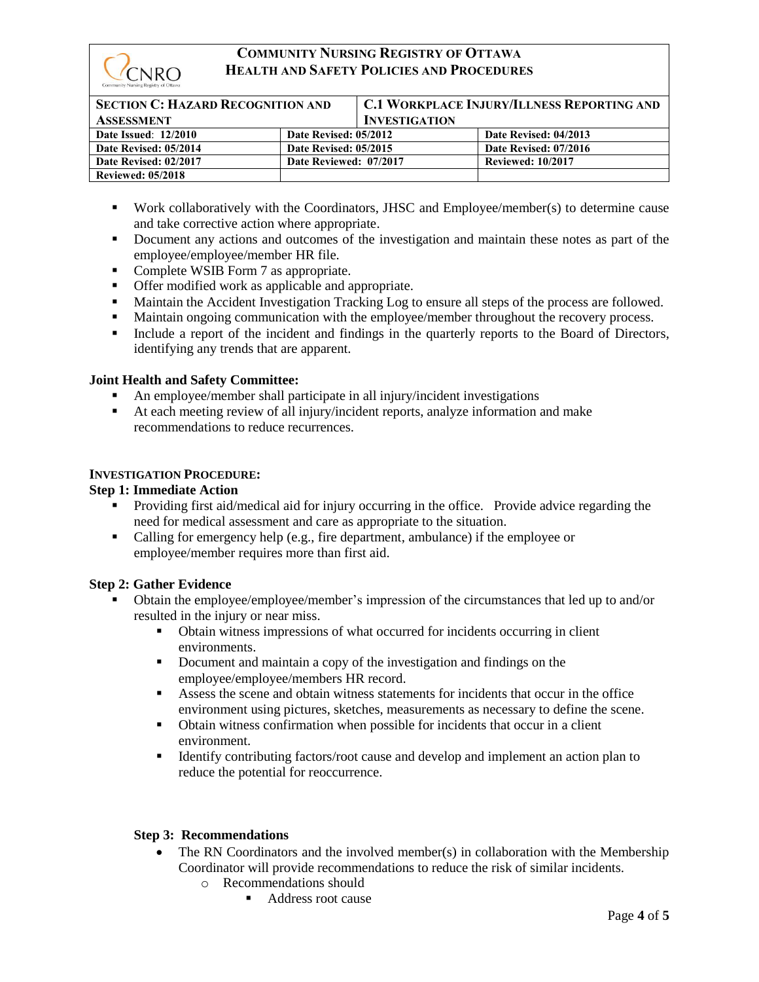

| <b>SECTION C: HAZARD RECOGNITION AND</b><br><b>ASSESSMENT</b> |                        | <b>C.1 WORKPLACE INJURY/ILLNESS REPORTING AND</b><br><b>INVESTIGATION</b> |                          |
|---------------------------------------------------------------|------------------------|---------------------------------------------------------------------------|--------------------------|
| <b>Date Issued: 12/2010</b>                                   | Date Revised: 05/2012  |                                                                           | Date Revised: 04/2013    |
| Date Revised: 05/2014                                         | Date Revised: 05/2015  |                                                                           | Date Revised: 07/2016    |
| Date Revised: 02/2017                                         | Date Reviewed: 07/2017 |                                                                           | <b>Reviewed: 10/2017</b> |
| <b>Reviewed: 05/2018</b>                                      |                        |                                                                           |                          |

- Work collaboratively with the Coordinators, JHSC and Employee/member(s) to determine cause and take corrective action where appropriate.
- Document any actions and outcomes of the investigation and maintain these notes as part of the employee/employee/member HR file.
- Complete WSIB Form 7 as appropriate.
- **•** Offer modified work as applicable and appropriate.
- **■** Maintain the Accident Investigation Tracking Log to ensure all steps of the process are followed.
- Maintain ongoing communication with the employee/member throughout the recovery process.
- Include a report of the incident and findings in the quarterly reports to the Board of Directors, identifying any trends that are apparent.

## **Joint Health and Safety Committee:**

- An employee/member shall participate in all injury/incident investigations
- At each meeting review of all injury/incident reports, analyze information and make recommendations to reduce recurrences.

## **INVESTIGATION PROCEDURE:**

## **Step 1: Immediate Action**

- Providing first aid/medical aid for injury occurring in the office. Provide advice regarding the need for medical assessment and care as appropriate to the situation.
- Calling for emergency help (e.g., fire department, ambulance) if the employee or employee/member requires more than first aid.

### **Step 2: Gather Evidence**

- Obtain the employee/employee/member's impression of the circumstances that led up to and/or resulted in the injury or near miss.
	- Obtain witness impressions of what occurred for incidents occurring in client environments.
	- Document and maintain a copy of the investigation and findings on the employee/employee/members HR record.
	- Assess the scene and obtain witness statements for incidents that occur in the office environment using pictures, sketches, measurements as necessary to define the scene.
	- Obtain witness confirmation when possible for incidents that occur in a client environment.
	- **EXECUTE:** Identify contributing factors/root cause and develop and implement an action plan to reduce the potential for reoccurrence.

## **Step 3: Recommendations**

- The RN Coordinators and the involved member(s) in collaboration with the Membership Coordinator will provide recommendations to reduce the risk of similar incidents.
	- o Recommendations should
		- Address root cause